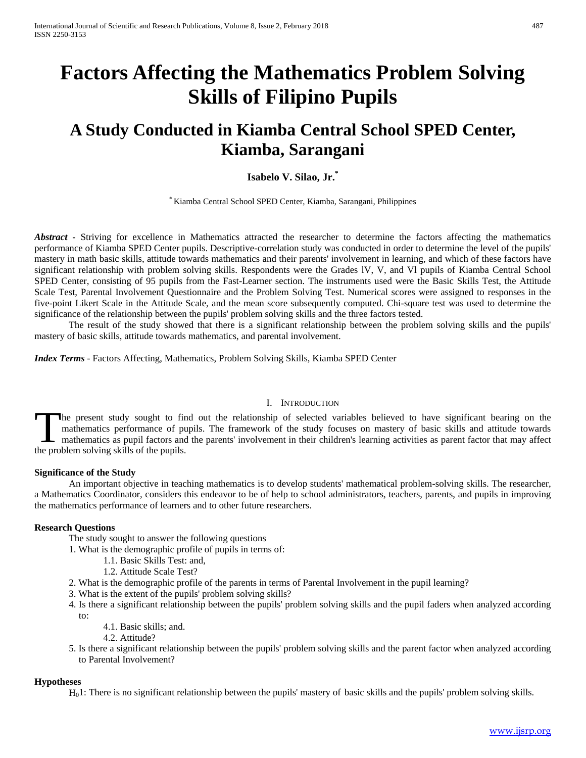# **Factors Affecting the Mathematics Problem Solving Skills of Filipino Pupils**

# **A Study Conducted in Kiamba Central School SPED Center, Kiamba, Sarangani**

# **Isabelo V. Silao, Jr.\***

\* Kiamba Central School SPED Center, Kiamba, Sarangani, Philippines

*Abstract* **-** Striving for excellence in Mathematics attracted the researcher to determine the factors affecting the mathematics performance of Kiamba SPED Center pupils. Descriptive-correlation study was conducted in order to determine the level of the pupils' mastery in math basic skills, attitude towards mathematics and their parents' involvement in learning, and which of these factors have significant relationship with problem solving skills. Respondents were the Grades lV, V, and Vl pupils of Kiamba Central School SPED Center, consisting of 95 pupils from the Fast-Learner section. The instruments used were the Basic Skills Test, the Attitude Scale Test, Parental Involvement Questionnaire and the Problem Solving Test. Numerical scores were assigned to responses in the five-point Likert Scale in the Attitude Scale, and the mean score subsequently computed. Chi-square test was used to determine the significance of the relationship between the pupils' problem solving skills and the three factors tested.

The result of the study showed that there is a significant relationship between the problem solving skills and the pupils' mastery of basic skills, attitude towards mathematics, and parental involvement.

*Index Terms* - Factors Affecting, Mathematics, Problem Solving Skills, Kiamba SPED Center

#### I. INTRODUCTION

he present study sought to find out the relationship of selected variables believed to have significant bearing on the mathematics performance of pupils. The framework of the study focuses on mastery of basic skills and attitude towards mathematics as pupil factors and the parents' involvement in their children's learning activities as parent factor that may affect The present study sought to firm athematics performance of pumathematics as pupil factors and the problem solving skills of the pupils.

# **Significance of the Study**

An important objective in teaching mathematics is to develop students' mathematical problem-solving skills. The researcher, a Mathematics Coordinator, considers this endeavor to be of help to school administrators, teachers, parents, and pupils in improving the mathematics performance of learners and to other future researchers.

### **Research Questions**

The study sought to answer the following questions

- 1. What is the demographic profile of pupils in terms of:
	- 1.1. Basic Skills Test: and,
	- 1.2. Attitude Scale Test?
- 2. What is the demographic profile of the parents in terms of Parental Involvement in the pupil learning?
- 3. What is the extent of the pupils' problem solving skills?
- 4. Is there a significant relationship between the pupils' problem solving skills and the pupil faders when analyzed according to:
	- 4.1. Basic skills; and.
	- 4.2. Attitude?
- 5. Is there a significant relationship between the pupils' problem solving skills and the parent factor when analyzed according to Parental Involvement?

#### **Hypotheses**

 $H<sub>0</sub>1$ : There is no significant relationship between the pupils' mastery of basic skills and the pupils' problem solving skills.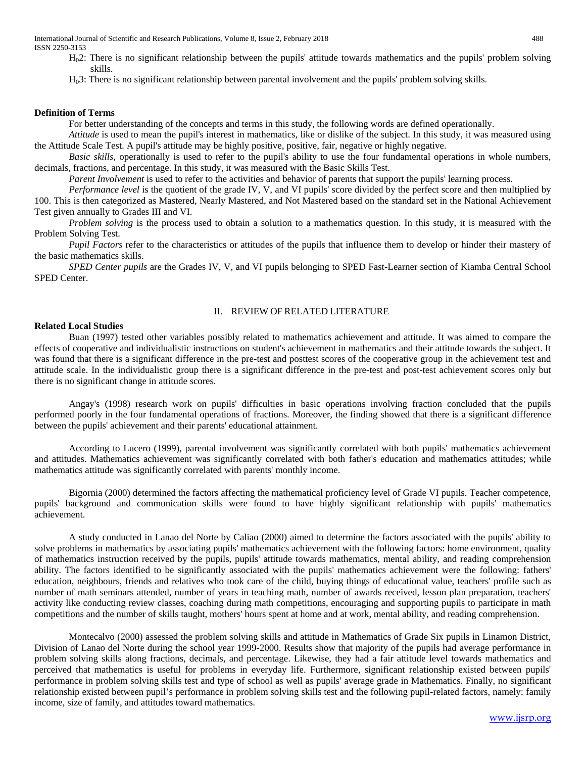International Journal of Scientific and Research Publications, Volume 8, Issue 2, February 2018 488 ISSN 2250-3153

- H02: There is no significant relationship between the pupils' attitude towards mathematics and the pupils' problem solving skills.
- H03: There is no significant relationship between parental involvement and the pupils' problem solving skills.

#### **Definition of Terms**

For better understanding of the concepts and terms in this study, the following words are defined operationally.

*Attitude* is used to mean the pupil's interest in mathematics, like or dislike of the subject. In this study, it was measured using the Attitude Scale Test. A pupil's attitude may be highly positive, positive, fair, negative or highly negative.

*Basic skills*, operationally is used to refer to the pupil's ability to use the four fundamental operations in whole numbers, decimals, fractions, and percentage. In this study, it was measured with the Basic Skills Test.

*Parent Involvement* is used to refer to the activities and behavior of parents that support the pupils' learning process.

*Performance level* is the quotient of the grade IV, V, and VI pupils' score divided by the perfect score and then multiplied by 100. This is then categorized as Mastered, Nearly Mastered, and Not Mastered based on the standard set in the National Achievement Test given annually to Grades III and VI.

*Problem solving* is the process used to obtain a solution to a mathematics question. In this study, it is measured with the Problem Solving Test.

*Pupil Factors* refer to the characteristics or attitudes of the pupils that influence them to develop or hinder their mastery of the basic mathematics skills.

*SPED Center pupils* are the Grades IV, V, and VI pupils belonging to SPED Fast-Learner section of Kiamba Central School SPED Center.

# II. REVIEW OF RELATED LITERATURE

### **Related Local Studies**

Buan (1997) tested other variables possibly related to mathematics achievement and attitude. It was aimed to compare the effects of cooperative and individualistic instructions on student's achievement in mathematics and their attitude towards the subject. It was found that there is a significant difference in the pre-test and posttest scores of the cooperative group in the achievement test and attitude scale. In the individualistic group there is a significant difference in the pre-test and post-test achievement scores only but there is no significant change in attitude scores.

Angay's (1998) research work on pupils' difficulties in basic operations involving fraction concluded that the pupils performed poorly in the four fundamental operations of fractions. Moreover, the finding showed that there is a significant difference between the pupils' achievement and their parents' educational attainment.

According to Lucero (1999), parental involvement was significantly correlated with both pupils' mathematics achievement and attitudes. Mathematics achievement was significantly correlated with both father's education and mathematics attitudes; while mathematics attitude was significantly correlated with parents' monthly income.

Bigornia (2000) determined the factors affecting the mathematical proficiency level of Grade VI pupils. Teacher competence, pupils' background and communication skills were found to have highly significant relationship with pupils' mathematics achievement.

A study conducted in Lanao del Norte by Caliao (2000) aimed to determine the factors associated with the pupils' ability to solve problems in mathematics by associating pupils' mathematics achievement with the following factors: home environment, quality of mathematics instruction received by the pupils, pupils' attitude towards mathematics, mental ability, and reading comprehension ability. The factors identified to be significantly associated with the pupils' mathematics achievement were the following: fathers' education, neighbours, friends and relatives who took care of the child, buying things of educational value, teachers' profile such as number of math seminars attended, number of years in teaching math, number of awards received, lesson plan preparation, teachers' activity like conducting review classes, coaching during math competitions, encouraging and supporting pupils to participate in math competitions and the number of skills taught, mothers' hours spent at home and at work, mental ability, and reading comprehension.

Montecalvo (2000) assessed the problem solving skills and attitude in Mathematics of Grade Six pupils in Linamon District, Division of Lanao del Norte during the school year 1999-2000. Results show that majority of the pupils had average performance in problem solving skills along fractions, decimals, and percentage. Likewise, they had a fair attitude level towards mathematics and perceived that mathematics is useful for problems in everyday life. Furthermore, significant relationship existed between pupils' performance in problem solving skills test and type of school as well as pupils' average grade in Mathematics. Finally, no significant relationship existed between pupil's performance in problem solving skills test and the following pupil-related factors, namely: family income, size of family, and attitudes toward mathematics.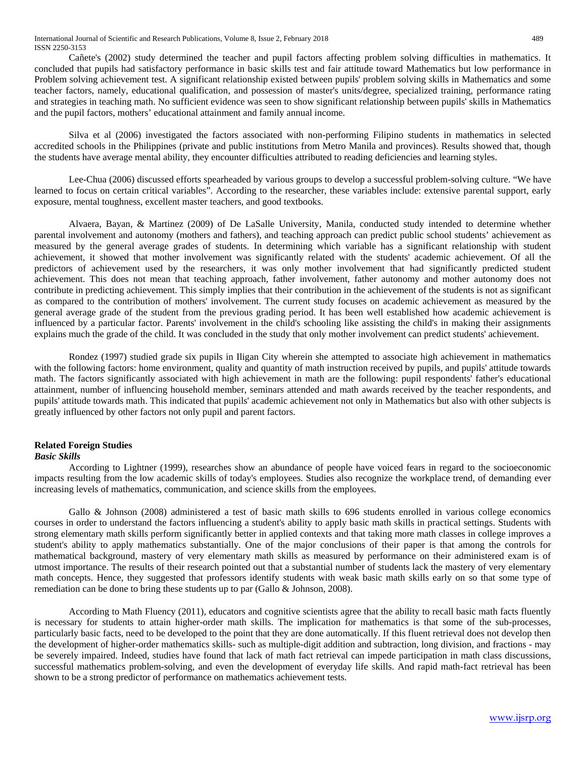International Journal of Scientific and Research Publications, Volume 8, Issue 2, February 2018 489 ISSN 2250-3153

Cañete's (2002) study determined the teacher and pupil factors affecting problem solving difficulties in mathematics. It concluded that pupils had satisfactory performance in basic skills test and fair attitude toward Mathematics but low performance in Problem solving achievement test. A significant relationship existed between pupils' problem solving skills in Mathematics and some teacher factors, namely, educational qualification, and possession of master's units/degree, specialized training, performance rating and strategies in teaching math. No sufficient evidence was seen to show significant relationship between pupils' skills in Mathematics and the pupil factors, mothers' educational attainment and family annual income.

Silva et al (2006) investigated the factors associated with non-performing Filipino students in mathematics in selected accredited schools in the Philippines (private and public institutions from Metro Manila and provinces). Results showed that, though the students have average mental ability, they encounter difficulties attributed to reading deficiencies and learning styles.

Lee-Chua (2006) discussed efforts spearheaded by various groups to develop a successful problem-solving culture. "We have learned to focus on certain critical variables". According to the researcher, these variables include: extensive parental support, early exposure, mental toughness, excellent master teachers, and good textbooks.

Alvaera, Bayan, & Martinez (2009) of De LaSalle University, Manila, conducted study intended to determine whether parental involvement and autonomy (mothers and fathers), and teaching approach can predict public school students' achievement as measured by the general average grades of students. In determining which variable has a significant relationship with student achievement, it showed that mother involvement was significantly related with the students' academic achievement. Of all the predictors of achievement used by the researchers, it was only mother involvement that had significantly predicted student achievement. This does not mean that teaching approach, father involvement, father autonomy and mother autonomy does not contribute in predicting achievement. This simply implies that their contribution in the achievement of the students is not as significant as compared to the contribution of mothers' involvement. The current study focuses on academic achievement as measured by the general average grade of the student from the previous grading period. It has been well established how academic achievement is influenced by a particular factor. Parents' involvement in the child's schooling like assisting the child's in making their assignments explains much the grade of the child. It was concluded in the study that only mother involvement can predict students' achievement.

Rondez (1997) studied grade six pupils in Iligan City wherein she attempted to associate high achievement in mathematics with the following factors: home environment, quality and quantity of math instruction received by pupils, and pupils' attitude towards math. The factors significantly associated with high achievement in math are the following: pupil respondents' father's educational attainment, number of influencing household member, seminars attended and math awards received by the teacher respondents, and pupils' attitude towards math. This indicated that pupils' academic achievement not only in Mathematics but also with other subjects is greatly influenced by other factors not only pupil and parent factors.

# **Related Foreign Studies**

#### *Basic Skills*

According to Lightner (1999), researches show an abundance of people have voiced fears in regard to the socioeconomic impacts resulting from the low academic skills of today's employees. Studies also recognize the workplace trend, of demanding ever increasing levels of mathematics, communication, and science skills from the employees.

Gallo & Johnson (2008) administered a test of basic math skills to 696 students enrolled in various college economics courses in order to understand the factors influencing a student's ability to apply basic math skills in practical settings. Students with strong elementary math skills perform significantly better in applied contexts and that taking more math classes in college improves a student's ability to apply mathematics substantially. One of the major conclusions of their paper is that among the controls for mathematical background, mastery of very elementary math skills as measured by performance on their administered exam is of utmost importance. The results of their research pointed out that a substantial number of students lack the mastery of very elementary math concepts. Hence, they suggested that professors identify students with weak basic math skills early on so that some type of remediation can be done to bring these students up to par (Gallo & Johnson, 2008).

According to Math Fluency (2011), educators and cognitive scientists agree that the ability to recall basic math facts fluently is necessary for students to attain higher-order math skills. The implication for mathematics is that some of the sub-processes, particularly basic facts, need to be developed to the point that they are done automatically. If this fluent retrieval does not develop then the development of higher-order mathematics skills- such as multiple-digit addition and subtraction, long division, and fractions - may be severely impaired. Indeed, studies have found that lack of math fact retrieval can impede participation in math class discussions, successful mathematics problem-solving, and even the development of everyday life skills. And rapid math-fact retrieval has been shown to be a strong predictor of performance on mathematics achievement tests.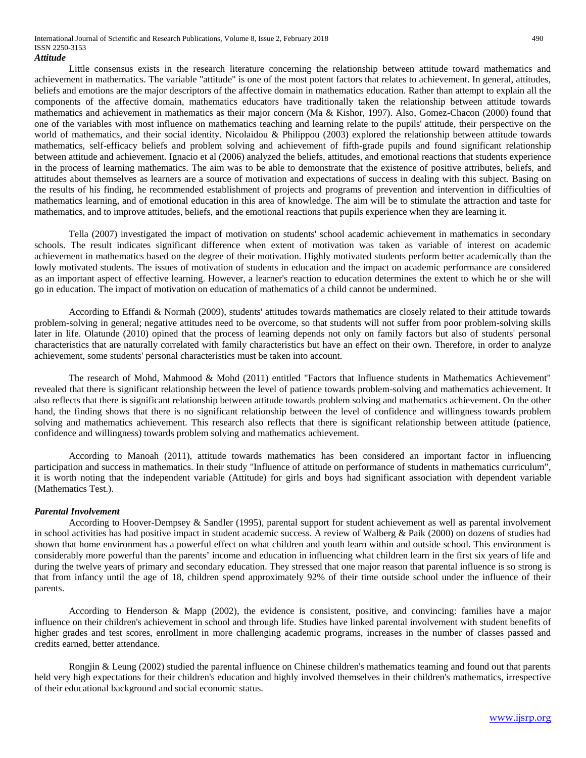#### *Attitude*

Little consensus exists in the research literature concerning the relationship between attitude toward mathematics and achievement in mathematics. The variable "attitude" is one of the most potent factors that relates to achievement. In general, attitudes, beliefs and emotions are the major descriptors of the affective domain in mathematics education. Rather than attempt to explain all the components of the affective domain, mathematics educators have traditionally taken the relationship between attitude towards mathematics and achievement in mathematics as their major concern (Ma & Kishor, 1997). Also, Gomez-Chacon (2000) found that one of the variables with most influence on mathematics teaching and learning relate to the pupils' attitude, their perspective on the world of mathematics, and their social identity. Nicolaidou & Philippou (2003) explored the relationship between attitude towards mathematics, self-efficacy beliefs and problem solving and achievement of fifth-grade pupils and found significant relationship between attitude and achievement. Ignacio et al (2006) analyzed the beliefs, attitudes, and emotional reactions that students experience in the process of learning mathematics. The aim was to be able to demonstrate that the existence of positive attributes, beliefs, and attitudes about themselves as learners are a source of motivation and expectations of success in dealing with this subject. Basing on the results of his finding, he recommended establishment of projects and programs of prevention and intervention in difficulties of mathematics learning, and of emotional education in this area of knowledge. The aim will be to stimulate the attraction and taste for mathematics, and to improve attitudes, beliefs, and the emotional reactions that pupils experience when they are learning it.

Tella (2007) investigated the impact of motivation on students' school academic achievement in mathematics in secondary schools. The result indicates significant difference when extent of motivation was taken as variable of interest on academic achievement in mathematics based on the degree of their motivation. Highly motivated students perform better academically than the lowly motivated students. The issues of motivation of students in education and the impact on academic performance are considered as an important aspect of effective learning. However, a learner's reaction to education determines the extent to which he or she will go in education. The impact of motivation on education of mathematics of a child cannot be undermined.

According to Effandi & Normah (2009), students' attitudes towards mathematics are closely related to their attitude towards problem-solving in general; negative attitudes need to be overcome, so that students will not suffer from poor problem-solving skills later in life. Olatunde (2010) opined that the process of learning depends not only on family factors but also of students' personal characteristics that are naturally correlated with family characteristics but have an effect on their own. Therefore, in order to analyze achievement, some students' personal characteristics must be taken into account.

The research of Mohd, Mahmood & Mohd (2011) entitled "Factors that Influence students in Mathematics Achievement" revealed that there is significant relationship between the level of patience towards problem-solving and mathematics achievement. It also reflects that there is significant relationship between attitude towards problem solving and mathematics achievement. On the other hand, the finding shows that there is no significant relationship between the level of confidence and willingness towards problem solving and mathematics achievement. This research also reflects that there is significant relationship between attitude (patience, confidence and willingness) towards problem solving and mathematics achievement.

According to Manoah (2011), attitude towards mathematics has been considered an important factor in influencing participation and success in mathematics. In their study "Influence of attitude on performance of students in mathematics curriculum", it is worth noting that the independent variable (Attitude) for girls and boys had significant association with dependent variable (Mathematics Test.).

#### *Parental Involvement*

According to Hoover-Dempsey & Sandler (1995), parental support for student achievement as well as parental involvement in school activities has had positive impact in student academic success. A review of Walberg & Paik (2000) on dozens of studies had shown that home environment has a powerful effect on what children and youth learn within and outside school. This environment is considerably more powerful than the parents' income and education in influencing what children learn in the first six years of life and during the twelve years of primary and secondary education. They stressed that one major reason that parental influence is so strong is that from infancy until the age of 18, children spend approximately 92% of their time outside school under the influence of their parents.

According to Henderson & Mapp (2002), the evidence is consistent, positive, and convincing: families have a major influence on their children's achievement in school and through life. Studies have linked parental involvement with student benefits of higher grades and test scores, enrollment in more challenging academic programs, increases in the number of classes passed and credits earned, better attendance.

Rongjin & Leung (2002) studied the parental influence on Chinese children's mathematics teaming and found out that parents held very high expectations for their children's education and highly involved themselves in their children's mathematics, irrespective of their educational background and social economic status.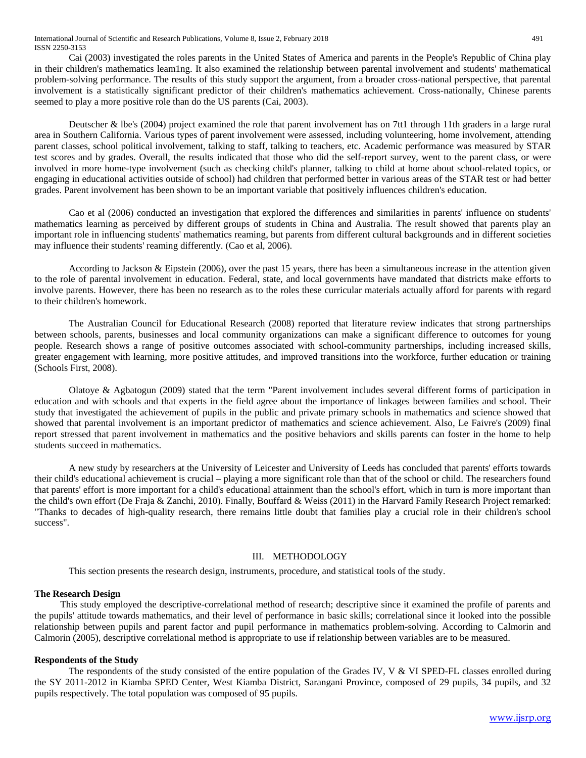Cai (2003) investigated the roles parents in the United States of America and parents in the People's Republic of China play in their children's mathematics leam1ng. It also examined the relationship between parental involvement and students' mathematical problem-solving performance. The results of this study support the argument, from a broader cross-national perspective, that parental involvement is a statistically significant predictor of their children's mathematics achievement. Cross-nationally, Chinese parents seemed to play a more positive role than do the US parents (Cai, 2003).

Deutscher & lbe's (2004) project examined the role that parent involvement has on 7tt1 through 11th graders in a large rural area in Southern California. Various types of parent involvement were assessed, including volunteering, home involvement, attending parent classes, school political involvement, talking to staff, talking to teachers, etc. Academic performance was measured by STAR test scores and by grades. Overall, the results indicated that those who did the self-report survey, went to the parent class, or were involved in more home-type involvement (such as checking child's planner, talking to child at home about school-related topics, or engaging in educational activities outside of school) had children that performed better in various areas of the STAR test or had better grades. Parent involvement has been shown to be an important variable that positively influences children's education.

Cao et al (2006) conducted an investigation that explored the differences and similarities in parents' influence on students' mathematics learning as perceived by different groups of students in China and Australia. The result showed that parents play an important role in influencing students' mathematics reaming, but parents from different cultural backgrounds and in different societies may influence their students' reaming differently. (Cao et al, 2006).

According to Jackson & Eipstein (2006), over the past 15 years, there has been a simultaneous increase in the attention given to the role of parental involvement in education. Federal, state, and local governments have mandated that districts make efforts to involve parents. However, there has been no research as to the roles these curricular materials actually afford for parents with regard to their children's homework.

The Australian Council for Educational Research (2008) reported that literature review indicates that strong partnerships between schools, parents, businesses and local community organizations can make a significant difference to outcomes for young people. Research shows a range of positive outcomes associated with school-community partnerships, including increased skills, greater engagement with learning, more positive attitudes, and improved transitions into the workforce, further education or training (Schools First, 2008).

Olatoye & Agbatogun (2009) stated that the term "Parent involvement includes several different forms of participation in education and with schools and that experts in the field agree about the importance of linkages between families and school. Their study that investigated the achievement of pupils in the public and private primary schools in mathematics and science showed that showed that parental involvement is an important predictor of mathematics and science achievement. Also, Le Faivre's (2009) final report stressed that parent involvement in mathematics and the positive behaviors and skills parents can foster in the home to help students succeed in mathematics.

A new study by researchers at the University of Leicester and University of Leeds has concluded that parents' efforts towards their child's educational achievement is crucial – playing a more significant role than that of the school or child. The researchers found that parents' effort is more important for a child's educational attainment than the school's effort, which in turn is more important than the child's own effort (De Fraja & Zanchi, 2010). Finally, Bouffard & Weiss (2011) in the Harvard Family Research Project remarked: "Thanks to decades of high-quality research, there remains little doubt that families play a crucial role in their children's school success".

### III. METHODOLOGY

This section presents the research design, instruments, procedure, and statistical tools of the study.

# **The Research Design**

This study employed the descriptive-correlational method of research; descriptive since it examined the profile of parents and the pupils' attitude towards mathematics, and their level of performance in basic skills; correlational since it looked into the possible relationship between pupils and parent factor and pupil performance in mathematics problem-solving. According to Calmorin and Calmorin (2005), descriptive correlational method is appropriate to use if relationship between variables are to be measured.

### **Respondents of the Study**

The respondents of the study consisted of the entire population of the Grades IV, V & VI SPED-FL classes enrolled during the SY 2011-2012 in Kiamba SPED Center, West Kiamba District, Sarangani Province, composed of 29 pupils, 34 pupils, and 32 pupils respectively. The total population was composed of 95 pupils.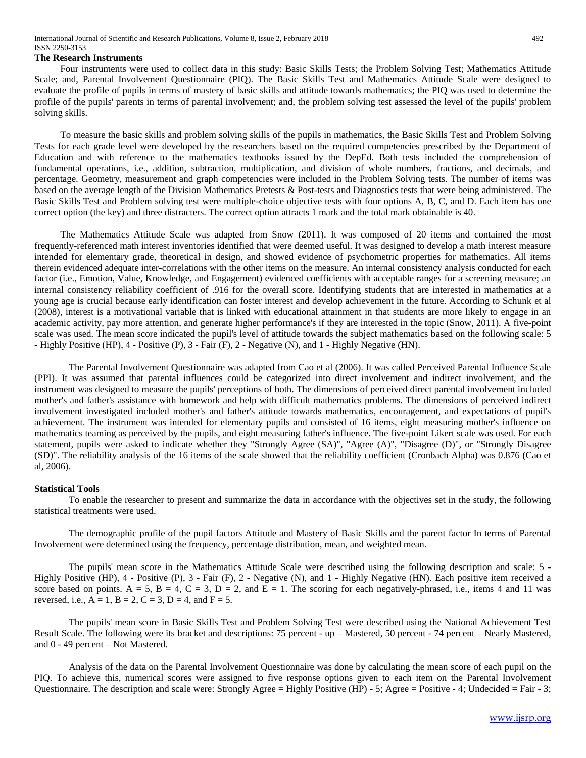#### **The Research Instruments**

Four instruments were used to collect data in this study: Basic Skills Tests; the Problem Solving Test; Mathematics Attitude Scale; and, Parental Involvement Questionnaire (PIQ). The Basic Skills Test and Mathematics Attitude Scale were designed to evaluate the profile of pupils in terms of mastery of basic skills and attitude towards mathematics; the PIQ was used to determine the profile of the pupils' parents in terms of parental involvement; and, the problem solving test assessed the level of the pupils' problem solving skills.

To measure the basic skills and problem solving skills of the pupils in mathematics, the Basic Skills Test and Problem Solving Tests for each grade level were developed by the researchers based on the required competencies prescribed by the Department of Education and with reference to the mathematics textbooks issued by the DepEd. Both tests included the comprehension of fundamental operations, i.e., addition, subtraction, multiplication, and division of whole numbers, fractions, and decimals, and percentage. Geometry, measurement and graph competencies were included in the Problem Solving tests. The number of items was based on the average length of the Division Mathematics Pretests & Post-tests and Diagnostics tests that were being administered. The Basic Skills Test and Problem solving test were multiple-choice objective tests with four options A, B, C, and D. Each item has one correct option (the key) and three distracters. The correct option attracts 1 mark and the total mark obtainable is 40.

The Mathematics Attitude Scale was adapted from Snow (2011). It was composed of 20 items and contained the most frequently-referenced math interest inventories identified that were deemed useful. It was designed to develop a math interest measure intended for elementary grade, theoretical in design, and showed evidence of psychometric properties for mathematics. All items therein evidenced adequate inter-correlations with the other items on the measure. An internal consistency analysis conducted for each factor (i.e., Emotion, Value, Knowledge, and Engagement) evidenced coefficients with acceptable ranges for a screening measure; an internal consistency reliability coefficient of .916 for the overall score. Identifying students that are interested in mathematics at a young age is crucial because early identification can foster interest and develop achievement in the future. According to Schunk et al (2008), interest is a motivational variable that is linked with educational attainment in that students are more likely to engage in an academic activity, pay more attention, and generate higher performance's if they are interested in the topic (Snow, 2011). A five-point scale was used. The mean score indicated the pupil's level of attitude towards the subject mathematics based on the following scale: 5 - Highly Positive (HP), 4 - Positive (P), 3 - Fair (F), 2 - Negative (N), and 1 - Highly Negative (HN).

The Parental Involvement Questionnaire was adapted from Cao et al (2006). It was called Perceived Parental Influence Scale (PPI). It was assumed that parental influences could be categorized into direct involvement and indirect involvement, and the instrument was designed to measure the pupils' perceptions of both. The dimensions of perceived direct parental involvement included mother's and father's assistance with homework and help with difficult mathematics problems. The dimensions of perceived indirect involvement investigated included mother's and father's attitude towards mathematics, encouragement, and expectations of pupil's achievement. The instrument was intended for elementary pupils and consisted of 16 items, eight measuring mother's influence on mathematics teaming as perceived by the pupils, and eight measuring father's influence. The five-point Likert scale was used. For each statement, pupils were asked to indicate whether they "Strongly Agree (SA)", "Agree (A)", "Disagree (D)", or "Strongly Disagree (SD)". The reliability analysis of the 16 items of the scale showed that the reliability coefficient (Cronbach Alpha) was 0.876 (Cao et al, 2006).

#### **Statistical Tools**

To enable the researcher to present and summarize the data in accordance with the objectives set in the study, the following statistical treatments were used.

The demographic profile of the pupil factors Attitude and Mastery of Basic Skills and the parent factor In terms of Parental Involvement were determined using the frequency, percentage distribution, mean, and weighted mean.

The pupils' mean score in the Mathematics Attitude Scale were described using the following description and scale: 5 - Highly Positive (HP), 4 - Positive (P), 3 - Fair (F), 2 - Negative (N), and 1 - Highly Negative (HN). Each positive item received a score based on points.  $A = 5$ ,  $B = 4$ ,  $C = 3$ ,  $D = 2$ , and  $E = 1$ . The scoring for each negatively-phrased, i.e., items 4 and 11 was reversed, i.e.,  $A = 1$ ,  $B = 2$ ,  $C = 3$ ,  $D = 4$ , and  $F = 5$ .

The pupils' mean score in Basic Skills Test and Problem Solving Test were described using the National Achievement Test Result Scale. The following were its bracket and descriptions: 75 percent - up – Mastered, 50 percent - 74 percent – Nearly Mastered, and 0 - 49 percent – Not Mastered.

Analysis of the data on the Parental Involvement Questionnaire was done by calculating the mean score of each pupil on the PIQ. To achieve this, numerical scores were assigned to five response options given to each item on the Parental Involvement Questionnaire. The description and scale were: Strongly Agree = Highly Positive (HP) - 5; Agree = Positive - 4; Undecided = Fair - 3;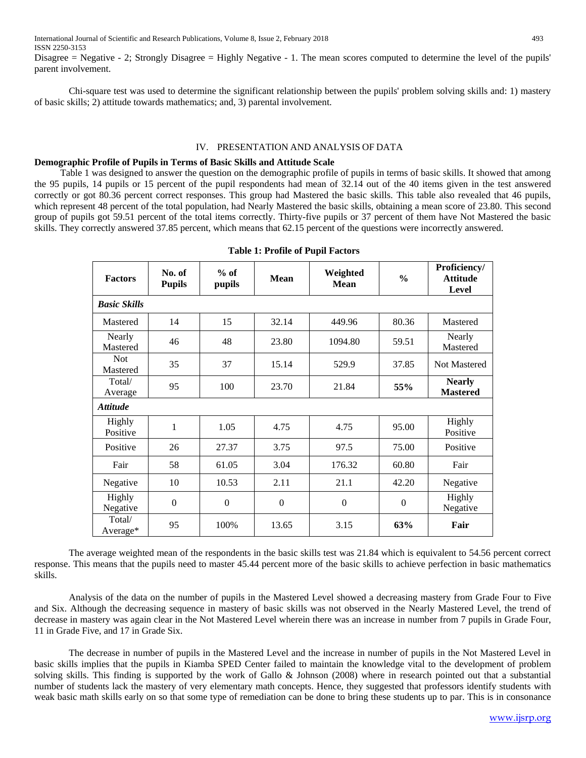Disagree = Negative - 2; Strongly Disagree = Highly Negative - 1. The mean scores computed to determine the level of the pupils' parent involvement.

Chi-square test was used to determine the significant relationship between the pupils' problem solving skills and: 1) mastery of basic skills; 2) attitude towards mathematics; and, 3) parental involvement.

## IV. PRESENTATION AND ANALYSIS OF DATA

#### **Demographic Profile of Pupils in Terms of Basic Skills and Attitude Scale**

Table 1 was designed to answer the question on the demographic profile of pupils in terms of basic skills. It showed that among the 95 pupils, 14 pupils or 15 percent of the pupil respondents had mean of 32.14 out of the 40 items given in the test answered correctly or got 80.36 percent correct responses. This group had Mastered the basic skills. This table also revealed that 46 pupils, which represent 48 percent of the total population, had Nearly Mastered the basic skills, obtaining a mean score of 23.80. This second group of pupils got 59.51 percent of the total items correctly. Thirty-five pupils or 37 percent of them have Not Mastered the basic skills. They correctly answered 37.85 percent, which means that 62.15 percent of the questions were incorrectly answered.

| <b>Factors</b>         | No. of<br><b>Pupils</b> | $%$ of<br>pupils | Mean     | Weighted<br><b>Mean</b> | $\frac{0}{0}$ | Proficiency/<br><b>Attitude</b><br>Level |  |  |
|------------------------|-------------------------|------------------|----------|-------------------------|---------------|------------------------------------------|--|--|
| <b>Basic Skills</b>    |                         |                  |          |                         |               |                                          |  |  |
| Mastered               | 14                      | 15               | 32.14    | 449.96                  | 80.36         | Mastered                                 |  |  |
| Nearly<br>Mastered     | 46                      | 48               | 23.80    | 1094.80                 | 59.51         | Nearly<br>Mastered                       |  |  |
| <b>Not</b><br>Mastered | 35                      | 37               | 15.14    | 529.9                   | 37.85         | <b>Not Mastered</b>                      |  |  |
| Total/<br>Average      | 95                      | 100              | 23.70    | 21.84                   | 55%           | <b>Nearly</b><br><b>Mastered</b>         |  |  |
| <b>Attitude</b>        |                         |                  |          |                         |               |                                          |  |  |
| Highly<br>Positive     | 1                       | 1.05             | 4.75     | 4.75                    | 95.00         | Highly<br>Positive                       |  |  |
| Positive               | 26                      | 27.37            | 3.75     | 97.5                    | 75.00         | Positive                                 |  |  |
| Fair                   | 58                      | 61.05            | 3.04     | 176.32                  | 60.80         | Fair                                     |  |  |
| Negative               | 10                      | 10.53            | 2.11     | 21.1                    | 42.20         | Negative                                 |  |  |
| Highly<br>Negative     | $\overline{0}$          | $\overline{0}$   | $\theta$ | $\theta$                | $\mathbf{0}$  | Highly<br>Negative                       |  |  |
| Total/<br>Average*     | 95                      | 100%             | 13.65    | 3.15                    | 63%           | Fair                                     |  |  |

**Table 1: Profile of Pupil Factors**

The average weighted mean of the respondents in the basic skills test was 21.84 which is equivalent to 54.56 percent correct response. This means that the pupils need to master 45.44 percent more of the basic skills to achieve perfection in basic mathematics skills.

Analysis of the data on the number of pupils in the Mastered Level showed a decreasing mastery from Grade Four to Five and Six. Although the decreasing sequence in mastery of basic skills was not observed in the Nearly Mastered Level, the trend of decrease in mastery was again clear in the Not Mastered Level wherein there was an increase in number from 7 pupils in Grade Four, 11 in Grade Five, and 17 in Grade Six.

The decrease in number of pupils in the Mastered Level and the increase in number of pupils in the Not Mastered Level in basic skills implies that the pupils in Kiamba SPED Center failed to maintain the knowledge vital to the development of problem solving skills. This finding is supported by the work of Gallo & Johnson (2008) where in research pointed out that a substantial number of students lack the mastery of very elementary math concepts. Hence, they suggested that professors identify students with weak basic math skills early on so that some type of remediation can be done to bring these students up to par. This is in consonance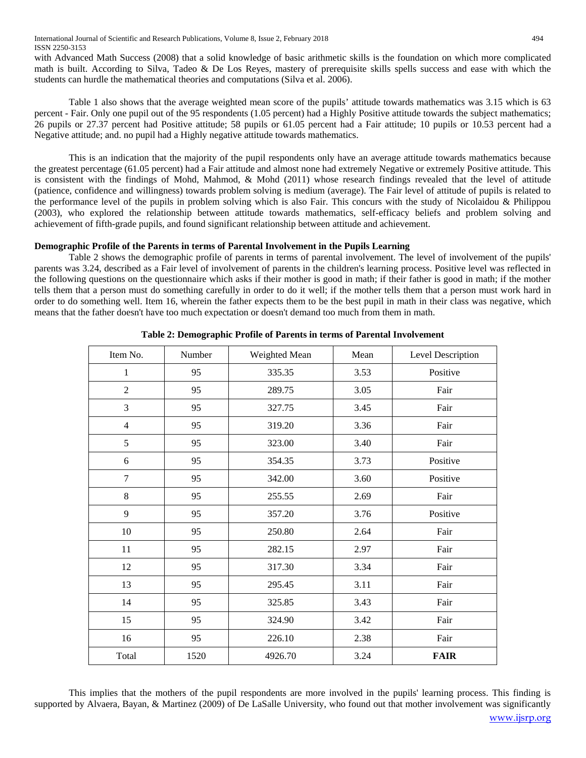with Advanced Math Success (2008) that a solid knowledge of basic arithmetic skills is the foundation on which more complicated math is built. According to Silva, Tadeo & De Los Reyes, mastery of prerequisite skills spells success and ease with which the students can hurdle the mathematical theories and computations (Silva et al. 2006).

Table 1 also shows that the average weighted mean score of the pupils' attitude towards mathematics was 3.15 which is 63 percent - Fair. Only one pupil out of the 95 respondents (1.05 percent) had a Highly Positive attitude towards the subject mathematics; 26 pupils or 27.37 percent had Positive attitude; 58 pupils or 61.05 percent had a Fair attitude; 10 pupils or 10.53 percent had a Negative attitude; and. no pupil had a Highly negative attitude towards mathematics.

This is an indication that the majority of the pupil respondents only have an average attitude towards mathematics because the greatest percentage (61.05 percent) had a Fair attitude and almost none had extremely Negative or extremely Positive attitude. This is consistent with the findings of Mohd, Mahmod, & Mohd (2011) whose research findings revealed that the level of attitude (patience, confidence and willingness) towards problem solving is medium (average). The Fair level of attitude of pupils is related to the performance level of the pupils in problem solving which is also Fair. This concurs with the study of Nicolaidou & Philippou (2003), who explored the relationship between attitude towards mathematics, self-efficacy beliefs and problem solving and achievement of fifth-grade pupils, and found significant relationship between attitude and achievement.

# **Demographic Profile of the Parents in terms of Parental Involvement in the Pupils Learning**

Table 2 shows the demographic profile of parents in terms of parental involvement. The level of involvement of the pupils' parents was 3.24, described as a Fair level of involvement of parents in the children's learning process. Positive level was reflected in the following questions on the questionnaire which asks if their mother is good in math; if their father is good in math; if the mother tells them that a person must do something carefully in order to do it well; if the mother tells them that a person must work hard in order to do something well. Item 16, wherein the father expects them to be the best pupil in math in their class was negative, which means that the father doesn't have too much expectation or doesn't demand too much from them in math.

| Item No.       | Number | Weighted Mean | Mean | Level Description |
|----------------|--------|---------------|------|-------------------|
| $\mathbf{1}$   | 95     | 335.35        | 3.53 | Positive          |
| $\overline{2}$ | 95     | 289.75        | 3.05 | Fair              |
| 3              | 95     | 327.75        | 3.45 | Fair              |
| $\overline{4}$ | 95     | 319.20        | 3.36 | Fair              |
| 5              | 95     | 323.00        | 3.40 | Fair              |
| 6              | 95     | 354.35        | 3.73 | Positive          |
| 7              | 95     | 342.00        | 3.60 | Positive          |
| 8              | 95     | 255.55        | 2.69 | Fair              |
| 9              | 95     | 357.20        | 3.76 | Positive          |
| 10             | 95     | 250.80        | 2.64 | Fair              |
| 11             | 95     | 282.15        | 2.97 | Fair              |
| 12             | 95     | 317.30        | 3.34 | Fair              |
| 13             | 95     | 295.45        | 3.11 | Fair              |
| 14             | 95     | 325.85        | 3.43 | Fair              |
| 15             | 95     | 324.90        | 3.42 | Fair              |
| 16             | 95     | 226.10        | 2.38 | Fair              |
| Total          | 1520   | 4926.70       | 3.24 | <b>FAIR</b>       |

**Table 2: Demographic Profile of Parents in terms of Parental Involvement**

This implies that the mothers of the pupil respondents are more involved in the pupils' learning process. This finding is supported by Alvaera, Bayan, & Martinez (2009) of De LaSalle University, who found out that mother involvement was significantly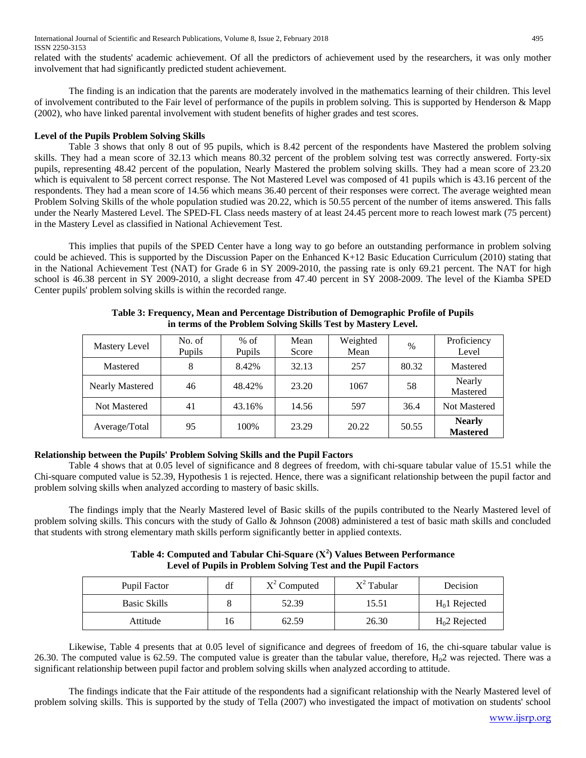International Journal of Scientific and Research Publications, Volume 8, Issue 2, February 2018 495 ISSN 2250-3153

related with the students' academic achievement. Of all the predictors of achievement used by the researchers, it was only mother involvement that had significantly predicted student achievement.

The finding is an indication that the parents are moderately involved in the mathematics learning of their children. This level of involvement contributed to the Fair level of performance of the pupils in problem solving. This is supported by Henderson & Mapp (2002), who have linked parental involvement with student benefits of higher grades and test scores.

# **Level of the Pupils Problem Solving Skills**

Table 3 shows that only 8 out of 95 pupils, which is 8.42 percent of the respondents have Mastered the problem solving skills. They had a mean score of 32.13 which means 80.32 percent of the problem solving test was correctly answered. Forty-six pupils, representing 48.42 percent of the population, Nearly Mastered the problem solving skills. They had a mean score of 23.20 which is equivalent to 58 percent correct response. The Not Mastered Level was composed of 41 pupils which is 43.16 percent of the respondents. They had a mean score of 14.56 which means 36.40 percent of their responses were correct. The average weighted mean Problem Solving Skills of the whole population studied was 20.22, which is 50.55 percent of the number of items answered. This falls under the Nearly Mastered Level. The SPED-FL Class needs mastery of at least 24.45 percent more to reach lowest mark (75 percent) in the Mastery Level as classified in National Achievement Test.

This implies that pupils of the SPED Center have a long way to go before an outstanding performance in problem solving could be achieved. This is supported by the Discussion Paper on the Enhanced K+12 Basic Education Curriculum (2010) stating that in the National Achievement Test (NAT) for Grade 6 in SY 2009-2010, the passing rate is only 69.21 percent. The NAT for high school is 46.38 percent in SY 2009-2010, a slight decrease from 47.40 percent in SY 2008-2009. The level of the Kiamba SPED Center pupils' problem solving skills is within the recorded range.

| Mastery Level       | No. of<br><b>Pupils</b> | $%$ of<br><b>Pupils</b> | Mean<br>Score | Weighted<br>Mean | $\%$  | Proficiency<br>Level             |
|---------------------|-------------------------|-------------------------|---------------|------------------|-------|----------------------------------|
| Mastered            | 8                       | 8.42%                   | 32.13         | 257              | 80.32 | Mastered                         |
| Nearly Mastered     | 46                      | 48.42%                  | 23.20         | 1067             | 58    | Nearly<br>Mastered               |
| <b>Not Mastered</b> | 41                      | 43.16%                  | 14.56         | 597              | 36.4  | <b>Not Mastered</b>              |
| Average/Total       | 95                      | 100%                    | 23.29         | 20.22            | 50.55 | <b>Nearly</b><br><b>Mastered</b> |

**Table 3: Frequency, Mean and Percentage Distribution of Demographic Profile of Pupils in terms of the Problem Solving Skills Test by Mastery Level.**

# **Relationship between the Pupils' Problem Solving Skills and the Pupil Factors**

Table 4 shows that at 0.05 level of significance and 8 degrees of freedom, with chi-square tabular value of 15.51 while the Chi-square computed value is 52.39, Hypothesis 1 is rejected. Hence, there was a significant relationship between the pupil factor and problem solving skills when analyzed according to mastery of basic skills.

The findings imply that the Nearly Mastered level of Basic skills of the pupils contributed to the Nearly Mastered level of problem solving skills. This concurs with the study of Gallo & Johnson (2008) administered a test of basic math skills and concluded that students with strong elementary math skills perform significantly better in applied contexts.

**Table 4: Computed and Tabular Chi-Square (Χ<sup>2</sup> ) Values Between Performance Level of Pupils in Problem Solving Test and the Pupil Factors**

| Pupil Factor        | df | $X^2$ Computed | $X^2$ Tabular | Decision       |
|---------------------|----|----------------|---------------|----------------|
| <b>Basic Skills</b> |    | 52.39          | 15.51         | $H01$ Rejected |
| Attitude            | 16 | 62.59          | 26.30         | $H02$ Rejected |

Likewise, Table 4 presents that at 0.05 level of significance and degrees of freedom of 16, the chi-square tabular value is 26.30. The computed value is 62.59. The computed value is greater than the tabular value, therefore,  $H_0$ 2 was rejected. There was a significant relationship between pupil factor and problem solving skills when analyzed according to attitude.

The findings indicate that the Fair attitude of the respondents had a significant relationship with the Nearly Mastered level of problem solving skills. This is supported by the study of Tella (2007) who investigated the impact of motivation on students' school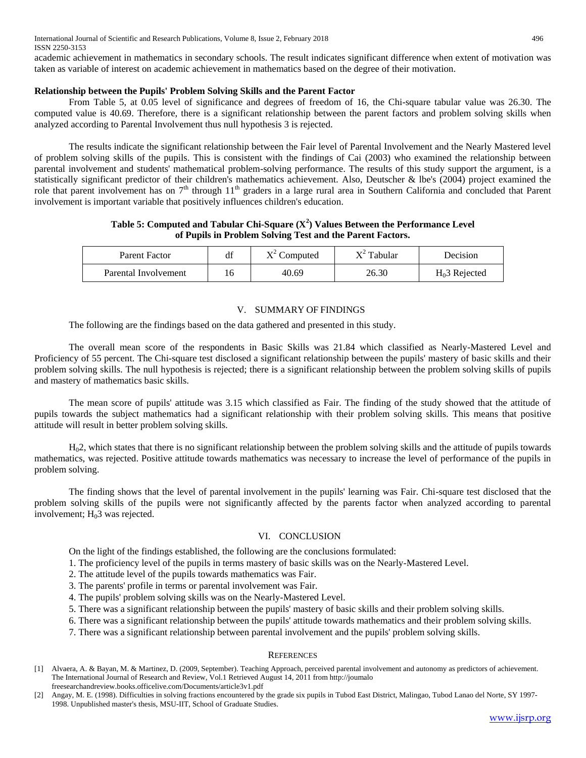International Journal of Scientific and Research Publications, Volume 8, Issue 2, February 2018 496 ISSN 2250-3153

academic achievement in mathematics in secondary schools. The result indicates significant difference when extent of motivation was taken as variable of interest on academic achievement in mathematics based on the degree of their motivation.

# **Relationship between the Pupils' Problem Solving Skills and the Parent Factor**

From Table 5, at 0.05 level of significance and degrees of freedom of 16, the Chi-square tabular value was 26.30. The computed value is 40.69. Therefore, there is a significant relationship between the parent factors and problem solving skills when analyzed according to Parental Involvement thus null hypothesis 3 is rejected.

The results indicate the significant relationship between the Fair level of Parental Involvement and the Nearly Mastered level of problem solving skills of the pupils. This is consistent with the findings of Cai (2003) who examined the relationship between parental involvement and students' mathematical problem-solving performance. The results of this study support the argument, is a statistically significant predictor of their children's mathematics achievement. Also, Deutscher & lbe's (2004) project examined the role that parent involvement has on 7<sup>th</sup> through 11<sup>th</sup> graders in a large rural area in Southern California and concluded that Parent involvement is important variable that positively influences children's education.

**Table 5: Computed and Tabular Chi-Square (X<sup>2</sup> ) Values Between the Performance Level of Pupils in Problem Solving Test and the Parent Factors.**

| Parent Factor        | df | $X^2$ Computed | $X^2$ Tabular | Decision        |
|----------------------|----|----------------|---------------|-----------------|
| Parental Involvement | 16 | 40.69          | 26.30         | $H0$ 3 Rejected |

#### V. SUMMARY OF FINDINGS

The following are the findings based on the data gathered and presented in this study.

The overall mean score of the respondents in Basic Skills was 21.84 which classified as Nearly-Mastered Level and Proficiency of 55 percent. The Chi-square test disclosed a significant relationship between the pupils' mastery of basic skills and their problem solving skills. The null hypothesis is rejected; there is a significant relationship between the problem solving skills of pupils and mastery of mathematics basic skills.

The mean score of pupils' attitude was 3.15 which classified as Fair. The finding of the study showed that the attitude of pupils towards the subject mathematics had a significant relationship with their problem solving skills. This means that positive attitude will result in better problem solving skills.

H02, which states that there is no significant relationship between the problem solving skills and the attitude of pupils towards mathematics, was rejected. Positive attitude towards mathematics was necessary to increase the level of performance of the pupils in problem solving.

The finding shows that the level of parental involvement in the pupils' learning was Fair. Chi-square test disclosed that the problem solving skills of the pupils were not significantly affected by the parents factor when analyzed according to parental involvement;  $H<sub>0</sub>3$  was rejected.

# VI. CONCLUSION

On the light of the findings established, the following are the conclusions formulated:

- 1. The proficiency level of the pupils in terms mastery of basic skills was on the Nearly-Mastered Level.
- 2. The attitude level of the pupils towards mathematics was Fair.
- 3. The parents' profile in terms or parental involvement was Fair.
- 4. The pupils' problem solving skills was on the Nearly-Mastered Level.
- 5. There was a significant relationship between the pupils' mastery of basic skills and their problem solving skills.
- 6. There was a significant relationship between the pupils' attitude towards mathematics and their problem solving skills.
- 7. There was a significant relationship between parental involvement and the pupils' problem solving skills.

#### **REFERENCES**

<sup>[1]</sup> Alvaera, A. & Bayan, M. & Martinez, D. (2009, September). Teaching Approach, perceived parental involvement and autonomy as predictors of achievement. The International Journal of Research and Review, Vol.1 Retrieved August 14, 2011 from http://joumalo freesearchandreview.books.officelive.com/Documents/article3v1.pdf

<sup>[2]</sup> Angay, M. E. (1998). Difficulties in solving fractions encountered by the grade six pupils in Tubod East District, Malingao, Tubod Lanao del Norte, SY 1997- 1998. Unpublished master's thesis, MSU-IIT, School of Graduate Studies.